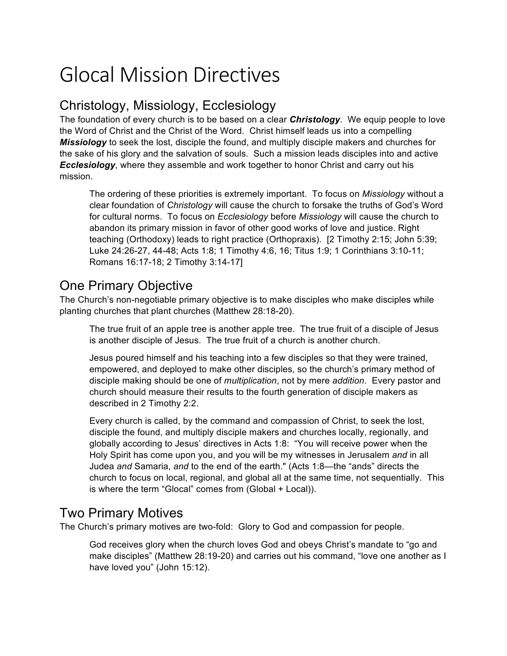# Glocal Mission Directives

## Christology, Missiology, Ecclesiology

The foundation of every church is to be based on a clear *Christology*. We equip people to love the Word of Christ and the Christ of the Word. Christ himself leads us into a compelling *Missiology* to seek the lost, disciple the found, and multiply disciple makers and churches for the sake of his glory and the salvation of souls. Such a mission leads disciples into and active *Ecclesiology*, where they assemble and work together to honor Christ and carry out his mission.

The ordering of these priorities is extremely important. To focus on *Missiology* without a clear foundation of *Christology* will cause the church to forsake the truths of God's Word for cultural norms. To focus on *Ecclesiology* before *Missiology* will cause the church to abandon its primary mission in favor of other good works of love and justice. Right teaching (Orthodoxy) leads to right practice (Orthopraxis). [2 Timothy 2:15; John 5:39; Luke 24:26-27, 44-48; Acts 1:8; 1 Timothy 4:6, 16; Titus 1:9; 1 Corinthians 3:10-11; Romans 16:17-18; 2 Timothy 3:14-17]

#### One Primary Objective

The Church's non-negotiable primary objective is to make disciples who make disciples while planting churches that plant churches (Matthew 28:18-20).

The true fruit of an apple tree is another apple tree. The true fruit of a disciple of Jesus is another disciple of Jesus. The true fruit of a church is another church.

Jesus poured himself and his teaching into a few disciples so that they were trained, empowered, and deployed to make other disciples, so the church's primary method of disciple making should be one of *multiplication*, not by mere *addition*. Every pastor and church should measure their results to the fourth generation of disciple makers as described in 2 Timothy 2:2.

Every church is called, by the command and compassion of Christ, to seek the lost, disciple the found, and multiply disciple makers and churches locally, regionally, and globally according to Jesus' directives in Acts 1:8: "You will receive power when the Holy Spirit has come upon you, and you will be my witnesses in Jerusalem *and* in all Judea *and* Samaria, *and* to the end of the earth." (Acts 1:8—the "ands" directs the church to focus on local, regional, and global all at the same time, not sequentially. This is where the term "Glocal" comes from (Global + Local)).

#### Two Primary Motives

The Church's primary motives are two-fold: Glory to God and compassion for people.

God receives glory when the church loves God and obeys Christ's mandate to "go and make disciples" (Matthew 28:19-20) and carries out his command, "love one another as I have loved you" (John 15:12).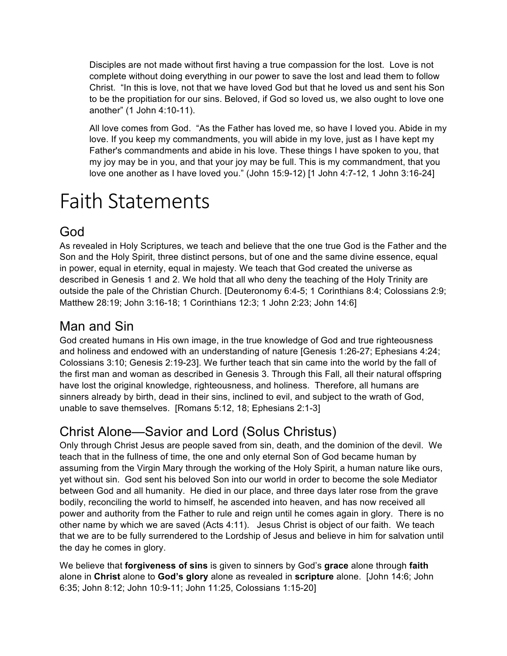Disciples are not made without first having a true compassion for the lost. Love is not complete without doing everything in our power to save the lost and lead them to follow Christ. "In this is love, not that we have loved God but that he loved us and sent his Son to be the propitiation for our sins. Beloved, if God so loved us, we also ought to love one another" (1 John 4:10-11).

All love comes from God. "As the Father has loved me, so have I loved you. Abide in my love. If you keep my commandments, you will abide in my love, just as I have kept my Father's commandments and abide in his love. These things I have spoken to you, that my joy may be in you, and that your joy may be full. This is my commandment, that you love one another as I have loved you." (John 15:9-12) [1 John 4:7-12, 1 John 3:16-24]

# Faith Statements

# God

As revealed in Holy Scriptures, we teach and believe that the one true God is the Father and the Son and the Holy Spirit, three distinct persons, but of one and the same divine essence, equal in power, equal in eternity, equal in majesty. We teach that God created the universe as described in Genesis 1 and 2. We hold that all who deny the teaching of the Holy Trinity are outside the pale of the Christian Church. [Deuteronomy 6:4-5; 1 Corinthians 8:4; Colossians 2:9; Matthew 28:19; John 3:16-18; 1 Corinthians 12:3; 1 John 2:23; John 14:6]

## Man and Sin

God created humans in His own image, in the true knowledge of God and true righteousness and holiness and endowed with an understanding of nature [Genesis 1:26-27; Ephesians 4:24; Colossians 3:10; Genesis 2:19-23]. We further teach that sin came into the world by the fall of the first man and woman as described in Genesis 3. Through this Fall, all their natural offspring have lost the original knowledge, righteousness, and holiness. Therefore, all humans are sinners already by birth, dead in their sins, inclined to evil, and subject to the wrath of God, unable to save themselves. [Romans 5:12, 18; Ephesians 2:1-3]

# Christ Alone—Savior and Lord (Solus Christus)

Only through Christ Jesus are people saved from sin, death, and the dominion of the devil. We teach that in the fullness of time, the one and only eternal Son of God became human by assuming from the Virgin Mary through the working of the Holy Spirit, a human nature like ours, yet without sin. God sent his beloved Son into our world in order to become the sole Mediator between God and all humanity. He died in our place, and three days later rose from the grave bodily, reconciling the world to himself, he ascended into heaven, and has now received all power and authority from the Father to rule and reign until he comes again in glory. There is no other name by which we are saved (Acts 4:11). Jesus Christ is object of our faith. We teach that we are to be fully surrendered to the Lordship of Jesus and believe in him for salvation until the day he comes in glory.

We believe that **forgiveness of sins** is given to sinners by God's **grace** alone through **faith** alone in **Christ** alone to **God's glory** alone as revealed in **scripture** alone. [John 14:6; John 6:35; John 8:12; John 10:9-11; John 11:25, Colossians 1:15-20]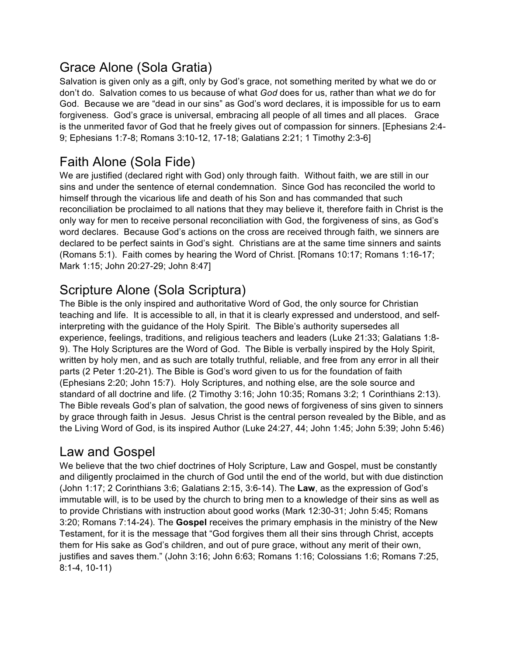## Grace Alone (Sola Gratia)

Salvation is given only as a gift, only by God's grace, not something merited by what we do or don't do. Salvation comes to us because of what *God* does for us, rather than what *we* do for God. Because we are "dead in our sins" as God's word declares, it is impossible for us to earn forgiveness. God's grace is universal, embracing all people of all times and all places. Grace is the unmerited favor of God that he freely gives out of compassion for sinners. [Ephesians 2:4- 9; Ephesians 1:7-8; Romans 3:10-12, 17-18; Galatians 2:21; 1 Timothy 2:3-6]

# Faith Alone (Sola Fide)

We are justified (declared right with God) only through faith. Without faith, we are still in our sins and under the sentence of eternal condemnation. Since God has reconciled the world to himself through the vicarious life and death of his Son and has commanded that such reconciliation be proclaimed to all nations that they may believe it, therefore faith in Christ is the only way for men to receive personal reconciliation with God, the forgiveness of sins, as God's word declares. Because God's actions on the cross are received through faith, we sinners are declared to be perfect saints in God's sight. Christians are at the same time sinners and saints (Romans 5:1). Faith comes by hearing the Word of Christ. [Romans 10:17; Romans 1:16-17; Mark 1:15; John 20:27-29; John 8:47]

# Scripture Alone (Sola Scriptura)

The Bible is the only inspired and authoritative Word of God, the only source for Christian teaching and life. It is accessible to all, in that it is clearly expressed and understood, and selfinterpreting with the guidance of the Holy Spirit. The Bible's authority supersedes all experience, feelings, traditions, and religious teachers and leaders (Luke 21:33; Galatians 1:8- 9). The Holy Scriptures are the Word of God. The Bible is verbally inspired by the Holy Spirit, written by holy men, and as such are totally truthful, reliable, and free from any error in all their parts (2 Peter 1:20-21). The Bible is God's word given to us for the foundation of faith (Ephesians 2:20; John 15:7). Holy Scriptures, and nothing else, are the sole source and standard of all doctrine and life. (2 Timothy 3:16; John 10:35; Romans 3:2; 1 Corinthians 2:13). The Bible reveals God's plan of salvation, the good news of forgiveness of sins given to sinners by grace through faith in Jesus. Jesus Christ is the central person revealed by the Bible, and as the Living Word of God, is its inspired Author (Luke 24:27, 44; John 1:45; John 5:39; John 5:46)

### Law and Gospel

We believe that the two chief doctrines of Holy Scripture, Law and Gospel, must be constantly and diligently proclaimed in the church of God until the end of the world, but with due distinction (John 1:17; 2 Corinthians 3:6; Galatians 2:15, 3:6-14). The **Law**, as the expression of God's immutable will, is to be used by the church to bring men to a knowledge of their sins as well as to provide Christians with instruction about good works (Mark 12:30-31; John 5:45; Romans 3:20; Romans 7:14-24). The **Gospel** receives the primary emphasis in the ministry of the New Testament, for it is the message that "God forgives them all their sins through Christ, accepts them for His sake as God's children, and out of pure grace, without any merit of their own, justifies and saves them." (John 3:16; John 6:63; Romans 1:16; Colossians 1:6; Romans 7:25, 8:1-4, 10-11)